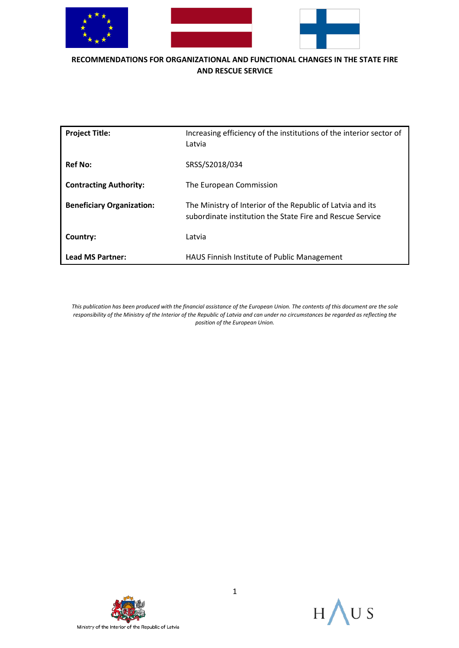

#### **RECOMMENDATIONS FOR ORGANIZATIONAL AND FUNCTIONAL CHANGES IN THE STATE FIRE AND RESCUE SERVICE**

| <b>Project Title:</b>            | Increasing efficiency of the institutions of the interior sector of<br>Latvia                                           |  |
|----------------------------------|-------------------------------------------------------------------------------------------------------------------------|--|
| <b>Ref No:</b>                   | SRSS/S2018/034                                                                                                          |  |
| <b>Contracting Authority:</b>    | The European Commission                                                                                                 |  |
| <b>Beneficiary Organization:</b> | The Ministry of Interior of the Republic of Latvia and its<br>subordinate institution the State Fire and Rescue Service |  |
| Country:                         | Latvia                                                                                                                  |  |
| <b>Lead MS Partner:</b>          | HAUS Finnish Institute of Public Management                                                                             |  |

*This publication has been produced with the financial assistance of the European Union. The contents of this document are the sole responsibility of the Ministry of the Interior of the Republic of Latvia and can under no circumstances be regarded as reflecting the position of the European Union.*



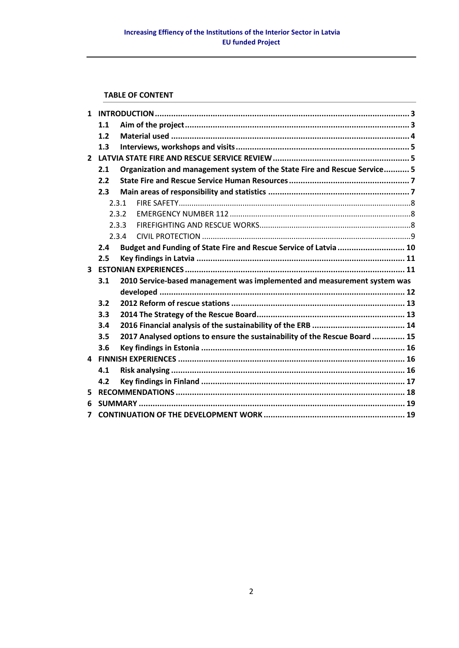#### **TABLE OF CONTENT**

| $\mathbf{1}$            |     |       |                                                                            |  |  |  |  |  |
|-------------------------|-----|-------|----------------------------------------------------------------------------|--|--|--|--|--|
|                         | 1.1 |       |                                                                            |  |  |  |  |  |
|                         | 1.2 |       |                                                                            |  |  |  |  |  |
|                         | 1.3 |       |                                                                            |  |  |  |  |  |
|                         |     |       |                                                                            |  |  |  |  |  |
|                         | 2.1 |       | Organization and management system of the State Fire and Rescue Service 5  |  |  |  |  |  |
|                         | 2.2 |       |                                                                            |  |  |  |  |  |
|                         | 2.3 |       |                                                                            |  |  |  |  |  |
|                         |     | 2.3.1 |                                                                            |  |  |  |  |  |
|                         |     | 2.3.2 |                                                                            |  |  |  |  |  |
|                         |     | 2.3.3 |                                                                            |  |  |  |  |  |
|                         |     | 2.3.4 |                                                                            |  |  |  |  |  |
|                         | 2.4 |       | Budget and Funding of State Fire and Rescue Service of Latvia  10          |  |  |  |  |  |
|                         | 2.5 |       |                                                                            |  |  |  |  |  |
| $\overline{\mathbf{3}}$ |     |       |                                                                            |  |  |  |  |  |
|                         | 3.1 |       | 2010 Service-based management was implemented and measurement system was   |  |  |  |  |  |
|                         |     |       |                                                                            |  |  |  |  |  |
|                         | 3.2 |       |                                                                            |  |  |  |  |  |
|                         | 3.3 |       |                                                                            |  |  |  |  |  |
|                         | 3.4 |       |                                                                            |  |  |  |  |  |
|                         | 3.5 |       | 2017 Analysed options to ensure the sustainability of the Rescue Board  15 |  |  |  |  |  |
|                         | 3.6 |       |                                                                            |  |  |  |  |  |
|                         |     |       |                                                                            |  |  |  |  |  |
|                         | 4.1 |       |                                                                            |  |  |  |  |  |
|                         | 4.2 |       |                                                                            |  |  |  |  |  |
| 5.                      |     |       |                                                                            |  |  |  |  |  |
| 6                       |     |       |                                                                            |  |  |  |  |  |
|                         |     |       |                                                                            |  |  |  |  |  |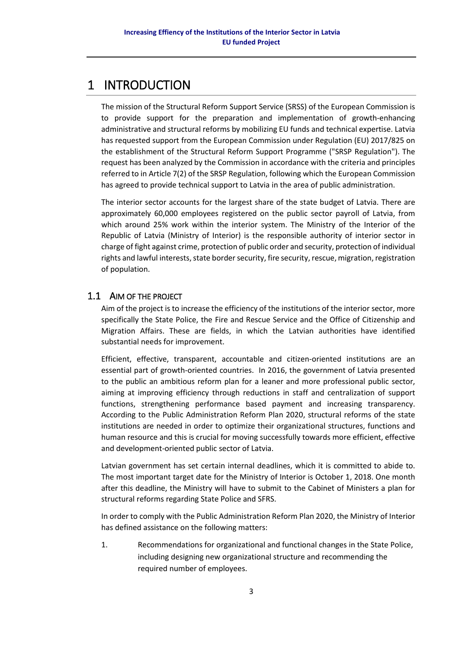# <span id="page-2-0"></span>1 INTRODUCTION

The mission of the Structural Reform Support Service (SRSS) of the European Commission is to provide support for the preparation and implementation of growth-enhancing administrative and structural reforms by mobilizing EU funds and technical expertise. Latvia has requested support from the European Commission under Regulation (EU) 2017/825 on the establishment of the Structural Reform Support Programme ("SRSP Regulation"). The request has been analyzed by the Commission in accordance with the criteria and principles referred to in Article 7(2) of the SRSP Regulation, following which the European Commission has agreed to provide technical support to Latvia in the area of public administration.

The interior sector accounts for the largest share of the state budget of Latvia. There are approximately 60,000 employees registered on the public sector payroll of Latvia, from which around 25% work within the interior system. The Ministry of the Interior of the Republic of Latvia (Ministry of Interior) is the responsible authority of interior sector in charge of fight against crime, protection of public order and security, protection of individual rights and lawful interests, state border security, fire security, rescue, migration, registration of population.

## <span id="page-2-1"></span>1.1 AIM OF THE PROJECT

Aim of the project is to increase the efficiency of the institutions of the interior sector, more specifically the State Police, the Fire and Rescue Service and the Office of Citizenship and Migration Affairs. These are fields, in which the Latvian authorities have identified substantial needs for improvement.

Efficient, effective, transparent, accountable and citizen-oriented institutions are an essential part of growth-oriented countries. In 2016, the government of Latvia presented to the public an ambitious reform plan for a leaner and more professional public sector, aiming at improving efficiency through reductions in staff and centralization of support functions, strengthening performance based payment and increasing transparency. According to the Public Administration Reform Plan 2020, structural reforms of the state institutions are needed in order to optimize their organizational structures, functions and human resource and this is crucial for moving successfully towards more efficient, effective and development-oriented public sector of Latvia.

Latvian government has set certain internal deadlines, which it is committed to abide to. The most important target date for the Ministry of Interior is October 1, 2018. One month after this deadline, the Ministry will have to submit to the Cabinet of Ministers a plan for structural reforms regarding State Police and SFRS.

In order to comply with the Public Administration Reform Plan 2020, the Ministry of Interior has defined assistance on the following matters:

1. Recommendations for organizational and functional changes in the State Police, including designing new organizational structure and recommending the required number of employees.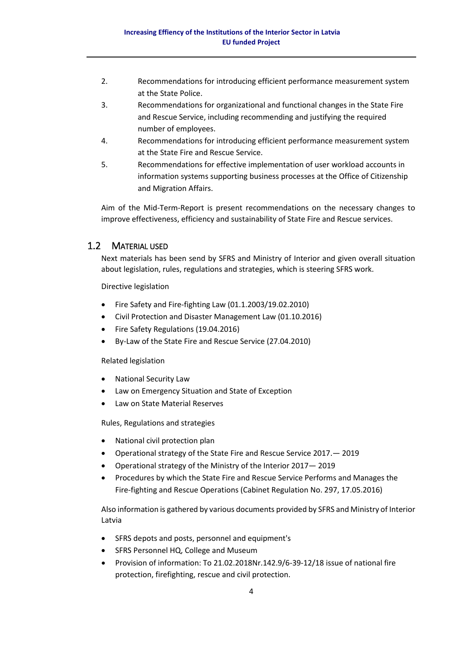- 2. Recommendations for introducing efficient performance measurement system at the State Police.
- 3. Recommendations for organizational and functional changes in the State Fire and Rescue Service, including recommending and justifying the required number of employees.
- 4. Recommendations for introducing efficient performance measurement system at the State Fire and Rescue Service.
- 5. Recommendations for effective implementation of user workload accounts in information systems supporting business processes at the Office of Citizenship and Migration Affairs.

Aim of the Mid-Term-Report is present recommendations on the necessary changes to improve effectiveness, efficiency and sustainability of State Fire and Rescue services.

### <span id="page-3-0"></span>1.2 MATERIAL USED

Next materials has been send by SFRS and Ministry of Interior and given overall situation about legislation, rules, regulations and strategies, which is steering SFRS work.

Directive legislation

- Fire Safety and Fire-fighting Law (01.1.2003/19.02.2010)
- Civil Protection and Disaster Management Law (01.10.2016)
- Fire Safety Regulations (19.04.2016)
- By-Law of the State Fire and Rescue Service (27.04.2010)

#### Related legislation

- National Security Law
- Law on Emergency Situation and State of Exception
- Law on State Material Reserves

Rules, Regulations and strategies

- National civil protection plan
- Operational strategy of the State Fire and Rescue Service 2017.— 2019
- Operational strategy of the Ministry of the Interior 2017— 2019
- Procedures by which the State Fire and Rescue Service Performs and Manages the Fire-fighting and Rescue Operations (Cabinet Regulation No. 297, 17.05.2016)

Also information is gathered by various documents provided by SFRS and Ministry of Interior Latvia

- SFRS depots and posts, personnel and equipment's
- SFRS Personnel HQ, College and Museum
- Provision of information: To 21.02.2018Nr.142.9/6-39-12/18 issue of national fire protection, firefighting, rescue and civil protection.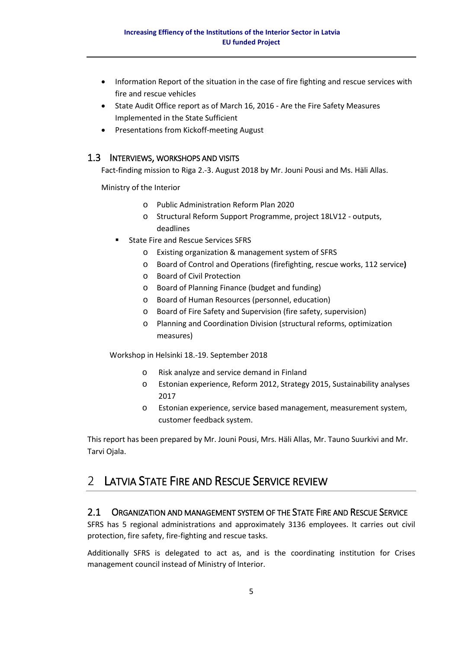- Information Report of the situation in the case of fire fighting and rescue services with fire and rescue vehicles
- State Audit Office report as of March 16, 2016 Are the Fire Safety Measures Implemented in the State Sufficient
- Presentations from Kickoff-meeting August

#### <span id="page-4-0"></span>1.3 INTERVIEWS, WORKSHOPS AND VISITS

Fact-finding mission to Riga 2.-3. August 2018 by Mr. Jouni Pousi and Ms. Häli Allas.

Ministry of the Interior

- o Public Administration Reform Plan 2020
- o Structural Reform Support Programme, project 18LV12 outputs, deadlines
- State Fire and Rescue Services SFRS
	- o Existing organization & management system of SFRS
	- o Board of Control and Operations (firefighting, rescue works, 112 service**)**
	- o Board of Civil Protection
	- o Board of Planning Finance (budget and funding)
	- o Board of Human Resources (personnel, education)
	- o Board of Fire Safety and Supervision (fire safety, supervision)
	- o Planning and Coordination Division (structural reforms, optimization measures)

Workshop in Helsinki 18.-19. September 2018

- o Risk analyze and service demand in Finland
- o Estonian experience, Reform 2012, Strategy 2015, Sustainability analyses 2017
- o Estonian experience, service based management, measurement system, customer feedback system.

This report has been prepared by Mr. Jouni Pousi, Mrs. Häli Allas, Mr. Tauno Suurkivi and Mr. Tarvi Ojala.

## <span id="page-4-1"></span>2 LATVIA STATE FIRE AND RESCUE SERVICE REVIEW

### <span id="page-4-2"></span>2.1 ORGANIZATION AND MANAGEMENT SYSTEM OF THE STATE FIRE AND RESCUE SERVICE

SFRS has 5 regional administrations and approximately 3136 employees. It carries out civil protection, fire safety, fire-fighting and rescue tasks.

Additionally SFRS is delegated to act as, and is the coordinating institution for Crises management council instead of Ministry of Interior.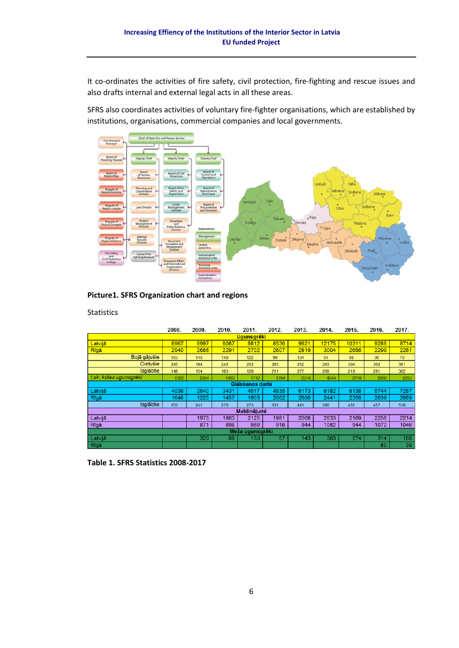It co-ordinates the activities of fire safety, civil protection, fire-fighting and rescue issues and also drafts internal and external legal acts in all these areas.

SFRS also coordinates activities of voluntary fire-fighter organisations, which are established by institutions, organisations, commercial companies and local governments.



#### Statistics

|                        | 2008.             | 2009. | 2010. | 2011. | 2012. | 2013. | 2014. | 2015. | 2016. | 2017. |
|------------------------|-------------------|-------|-------|-------|-------|-------|-------|-------|-------|-------|
|                        | <b>Ugunsgrēki</b> |       |       |       |       |       |       |       |       |       |
| Latvijā                | 8967              | 8997  | 8087  | 8812  | 8536  | 9821  | 12175 | 10311 | 9288  | 8714  |
| Rīgā                   | 2940              | 2686  | 2291  | 2702  | 2607  | 2819  | 3004  | 2656  | 2299  | 2261  |
| Bojā gājušie           | 163               | 145   | 148   | 122   | 99    | 104   | 94    | 88    | 95    | 79    |
| Cietušie               | 245               | 194   | 242   | 252   | 283   | 252   | 283   | 304   | 302   | 381   |
| Izglābtie              | 148               | 154   | 163   | 120   | 211   | 277   | 209   | 218   | 291   | 382   |
| t.sk. kūlas ugunsgrēki | 1092              | 2054  | 1663  | 1712  | 1764  | 2316  | 4044  | 2710  | 2650  | 2253  |
|                        | Glābšanas darbi   |       |       |       |       |       |       |       |       |       |
| Latvijā                | 4038              | 2640  | 3431  | 4517  | 4835  | 6173  | 6182  | 6138  | 6744  | 7287  |
| Rīgā                   | 1648              | 1225  | 1457  | 1903  | 2062  | 2600  | 2441  | 2356  | 2639  | 2689  |
| Izglābtie              | 255               | 241   | 270   | 273   | 331   | 441   | 386   | 431   | 457   | 518   |
| <b>Maldinājumi</b>     |                   |       |       |       |       |       |       |       |       |       |
| Latvijā                |                   | 1975  | 1863  | 2125  | 1981  | 2068  | 2633  | 2169  | 2258  | 2214  |
| Rīgā                   |                   | 871   | 898   | 969   | 916   | 944   | 1082  | 944   | 1072  | 1046  |
| Meža ugunsgrēki        |                   |       |       |       |       |       |       |       |       |       |
| Latvijā                |                   | 320   | 88    | 133   | 57    | 143   | 363   | 274   | 314   | 169   |
| Rīgā                   |                   |       |       |       |       |       |       |       | 80    | 39    |

**Table 1. SFRS Statistics 2008-2017**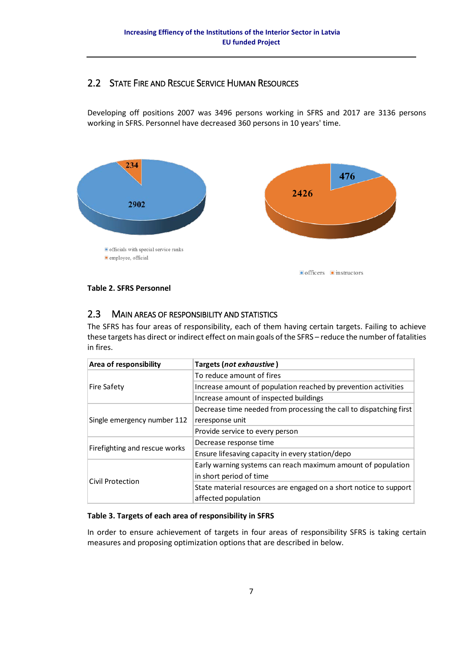## <span id="page-6-0"></span>2.2 STATE FIRE AND RESCUE SERVICE HUMAN RESOURCES

Developing off positions 2007 was 3496 persons working in SFRS and 2017 are 3136 persons working in SFRS. Personnel have decreased 360 persons in 10 years' time.



#### **Table 2. SFRS Personnel**

## <span id="page-6-1"></span>2.3 MAIN AREAS OF RESPONSIBILITY AND STATISTICS

The SFRS has four areas of responsibility, each of them having certain targets. Failing to achieve these targets has direct or indirect effect on main goals of the SFRS – reduce the number of fatalities in fires.

| Area of responsibility        | Targets (not exhaustive)                                           |
|-------------------------------|--------------------------------------------------------------------|
|                               | To reduce amount of fires                                          |
| <b>Fire Safety</b>            | Increase amount of population reached by prevention activities     |
|                               | Increase amount of inspected buildings                             |
|                               | Decrease time needed from processing the call to dispatching first |
| Single emergency number 112   | reresponse unit                                                    |
|                               | Provide service to every person                                    |
| Firefighting and rescue works | Decrease response time                                             |
|                               | Ensure lifesaving capacity in every station/depo                   |
|                               | Early warning systems can reach maximum amount of population       |
| <b>Civil Protection</b>       | in short period of time                                            |
|                               | State material resources are engaged on a short notice to support  |
|                               | affected population                                                |

#### **Table 3. Targets of each area of responsibility in SFRS**

In order to ensure achievement of targets in four areas of responsibility SFRS is taking certain measures and proposing optimization options that are described in below.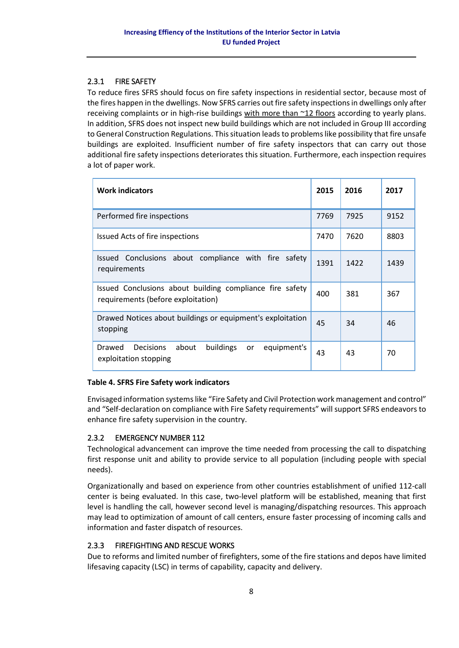## <span id="page-7-0"></span>2.3.1 FIRE SAFETY

To reduce fires SFRS should focus on fire safety inspections in residential sector, because most of the fires happen in the dwellings. Now SFRS carries out fire safety inspections in dwellings only after receiving complaints or in high-rise buildings with more than  $\sim$ 12 floors according to yearly plans. In addition, SFRS does not inspect new build buildings which are not included in Group III according to General Construction Regulations. This situation leads to problems like possibility that fire unsafe buildings are exploited. Insufficient number of fire safety inspectors that can carry out those additional fire safety inspections deteriorates this situation. Furthermore, each inspection requires a lot of paper work.

| <b>Work indicators</b>                                                                                | 2015 | 2016 | 2017 |
|-------------------------------------------------------------------------------------------------------|------|------|------|
| Performed fire inspections                                                                            | 7769 | 7925 | 9152 |
| Issued Acts of fire inspections                                                                       | 7470 | 7620 | 8803 |
| Issued Conclusions about compliance with fire safety<br>requirements                                  | 1391 | 1422 | 1439 |
| Issued Conclusions about building compliance fire safety<br>requirements (before exploitation)        | 400  | 381  | 367  |
| Drawed Notices about buildings or equipment's exploitation<br>stopping                                | 45   | 34   | 46   |
| Drawed<br>buildings<br>equipment's<br><b>Decisions</b><br>about<br><b>or</b><br>exploitation stopping | 43   | 43   | 70   |

### **Table 4. SFRS Fire Safety work indicators**

Envisaged information systemslike "Fire Safety and Civil Protection work management and control" and "Self-declaration on compliance with Fire Safety requirements" will support SFRS endeavors to enhance fire safety supervision in the country.

### <span id="page-7-1"></span>2.3.2 EMERGENCY NUMBER 112

Technological advancement can improve the time needed from processing the call to dispatching first response unit and ability to provide service to all population (including people with special needs).

Organizationally and based on experience from other countries establishment of unified 112-call center is being evaluated. In this case, two-level platform will be established, meaning that first level is handling the call, however second level is managing/dispatching resources. This approach may lead to optimization of amount of call centers, ensure faster processing of incoming calls and information and faster dispatch of resources.

### <span id="page-7-2"></span>2.3.3 FIREFIGHTING AND RESCUE WORKS

Due to reforms and limited number of firefighters, some of the fire stations and depos have limited lifesaving capacity (LSC) in terms of capability, capacity and delivery.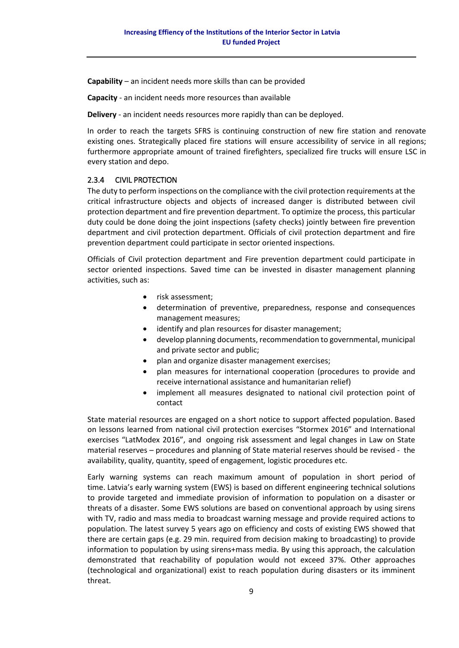**Capability** – an incident needs more skills than can be provided

**Capacity** - an incident needs more resources than available

**Delivery** - an incident needs resources more rapidly than can be deployed.

In order to reach the targets SFRS is continuing construction of new fire station and renovate existing ones. Strategically placed fire stations will ensure accessibility of service in all regions; furthermore appropriate amount of trained firefighters, specialized fire trucks will ensure LSC in every station and depo.

#### <span id="page-8-0"></span>2.3.4 CIVIL PROTECTION

The duty to perform inspections on the compliance with the civil protection requirements at the critical infrastructure objects and objects of increased danger is distributed between civil protection department and fire prevention department. To optimize the process, this particular duty could be done doing the joint inspections (safety checks) jointly between fire prevention department and civil protection department. Officials of civil protection department and fire prevention department could participate in sector oriented inspections.

Officials of Civil protection department and Fire prevention department could participate in sector oriented inspections. Saved time can be invested in disaster management planning activities, such as:

- risk assessment;
- determination of preventive, preparedness, response and consequences management measures;
- identify and plan resources for disaster management;
- develop planning documents, recommendation to governmental, municipal and private sector and public;
- plan and organize disaster management exercises;
- plan measures for international cooperation (procedures to provide and receive international assistance and humanitarian relief)
- implement all measures designated to national civil protection point of contact

State material resources are engaged on a short notice to support affected population. Based on lessons learned from national civil protection exercises "Stormex 2016" and International exercises "LatModex 2016", and ongoing risk assessment and legal changes in Law on State material reserves – procedures and planning of State material reserves should be revised - the availability, quality, quantity, speed of engagement, logistic procedures etc.

Early warning systems can reach maximum amount of population in short period of time. Latvia's early warning system (EWS) is based on different engineering technical solutions to provide targeted and immediate provision of information to population on a disaster or threats of a disaster. Some EWS solutions are based on conventional approach by using sirens with TV, radio and mass media to broadcast warning message and provide required actions to population. The latest survey 5 years ago on efficiency and costs of existing EWS showed that there are certain gaps (e.g. 29 min. required from decision making to broadcasting) to provide information to population by using sirens+mass media. By using this approach, the calculation demonstrated that reachability of population would not exceed 37%. Other approaches (technological and organizational) exist to reach population during disasters or its imminent threat.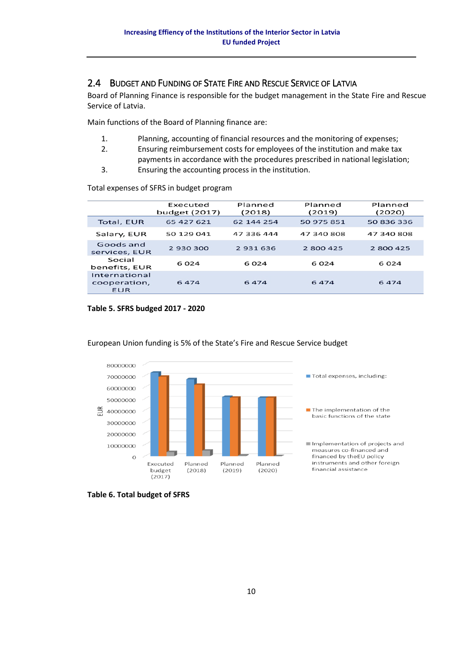## <span id="page-9-0"></span>2.4 BUDGET AND FUNDING OF STATE FIRE AND RESCUE SERVICE OF LATVIA

Board of Planning Finance is responsible for the budget management in the State Fire and Rescue Service of Latvia.

Main functions of the Board of Planning finance are:

- 1. Planning, accounting of financial resources and the monitoring of expenses;
- 2. Ensuring reimbursement costs for employees of the institution and make tax payments in accordance with the procedures prescribed in national legislation;
- 3. Ensuring the accounting process in the institution.

Total expenses of SFRS in budget program

|                                      | Executed<br>budget (2017) | Planned<br>(2018) | Planned<br>(2019) | Planned<br>(2020) |
|--------------------------------------|---------------------------|-------------------|-------------------|-------------------|
| Total, EUR                           | 65 427 621                | 62 144 254        | 50 975 851        | 50 836 336        |
| Salary, EUR                          | 50 129 041                | 47 336 444        | 47 340 808        | 47 340 808        |
| Goods and<br>services, EUR           | 2930300                   | 2931636           | 2 800 425         | 2 800 425         |
| Social<br>benefits, EUR              | 6024                      | 6024              | 6024              | 6024              |
| International<br>cooperation,<br>EUR | 6474                      | 6474              | 6474              | 6474              |





#### European Union funding is 5% of the State's Fire and Rescue Service budget

**Table 6. Total budget of SFRS**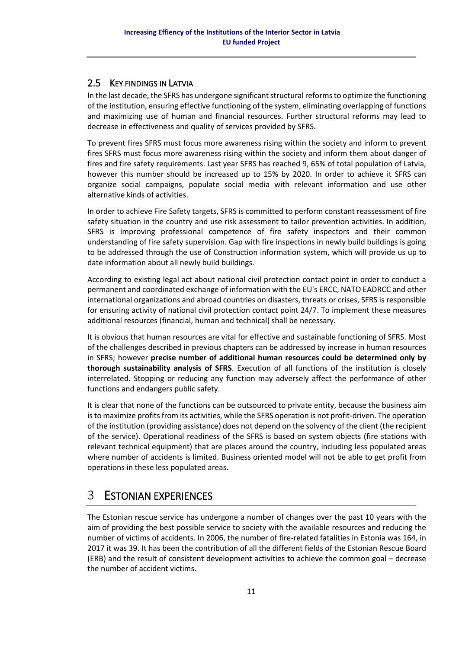## <span id="page-10-0"></span>2.5 KEY FINDINGS IN LATVIA

In the last decade, the SFRS has undergone significant structural reforms to optimize the functioning of the institution, ensuring effective functioning of the system, eliminating overlapping of functions and maximizing use of human and financial resources. Further structural reforms may lead to decrease in effectiveness and quality of services provided by SFRS.

To prevent fires SFRS must focus more awareness rising within the society and inform to prevent fires SFRS must focus more awareness rising within the society and inform them about danger of fires and fire safety requirements. Last year SFRS has reached 9, 65% of total population of Latvia, however this number should be increased up to 15% by 2020. In order to achieve it SFRS can organize social campaigns, populate social media with relevant information and use other alternative kinds of activities.

In order to achieve Fire Safety targets, SFRS is committed to perform constant reassessment of fire safety situation in the country and use risk assessment to tailor prevention activities. In addition, SFRS is improving professional competence of fire safety inspectors and their common understanding of fire safety supervision. Gap with fire inspections in newly build buildings is going to be addressed through the use of Construction information system, which will provide us up to date information about all newly build buildings.

According to existing legal act about national civil protection contact point in order to conduct a permanent and coordinated exchange of information with the EU's ERCC, NATO EADRCC and other international organizations and abroad countries on disasters, threats or crises, SFRS is responsible for ensuring activity of national civil protection contact point 24/7. To implement these measures additional resources (financial, human and technical) shall be necessary.

It is obvious that human resources are vital for effective and sustainable functioning of SFRS. Most of the challenges described in previous chapters can be addressed by increase in human resources in SFRS; however **precise number of additional human resources could be determined only by thorough sustainability analysis of SFRS**. Execution of all functions of the institution is closely interrelated. Stopping or reducing any function may adversely affect the performance of other functions and endangers public safety.

It is clear that none of the functions can be outsourced to private entity, because the business aim is to maximize profits from its activities, while the SFRS operation is not profit-driven. The operation of the institution (providing assistance) does not depend on the solvency of the client (the recipient of the service). Operational readiness of the SFRS is based on system objects (fire stations with relevant technical equipment) that are places around the country, including less populated areas where number of accidents is limited. Business oriented model will not be able to get profit from operations in these less populated areas.

## <span id="page-10-1"></span>3 ESTONIAN EXPERIENCES

The Estonian rescue service has undergone a number of changes over the past 10 years with the aim of providing the best possible service to society with the available resources and reducing the number of victims of accidents. In 2006, the number of fire-related fatalities in Estonia was 164, in 2017 it was 39. It has been the contribution of all the different fields of the Estonian Rescue Board (ERB) and the result of consistent development activities to achieve the common goal – decrease the number of accident victims.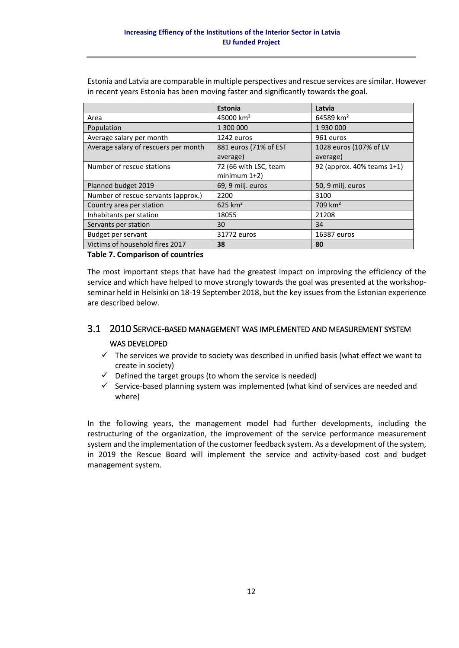Estonia and Latvia are comparable in multiple perspectives and rescue services are similar. However in recent years Estonia has been moving faster and significantly towards the goal.

|                                      | <b>Estonia</b>        | Latvia                     |
|--------------------------------------|-----------------------|----------------------------|
| Area                                 | 45000 km <sup>2</sup> | 64589 km <sup>2</sup>      |
| Population                           | 1 300 000             | 1930000                    |
| Average salary per month             | 1242 euros            | 961 euros                  |
| Average salary of rescuers per month | 881 euros (71% of EST | 1028 euros (107% of LV     |
|                                      | average)              | average)                   |
| Number of rescue stations            | 72 (66 with LSC, team | 92 (approx. 40% teams 1+1) |
|                                      | minimum $1+2$ )       |                            |
| Planned budget 2019                  | 69, 9 milj. euros     | 50, 9 milj. euros          |
| Number of rescue servants (approx.)  | 2200                  | 3100                       |
| Country area per station             | $625$ km <sup>2</sup> | $709$ km <sup>2</sup>      |
| Inhabitants per station              | 18055                 | 21208                      |
| Servants per station                 | 30                    | 34                         |
| Budget per servant                   | 31772 euros           | 16387 euros                |
| Victims of household fires 2017      | 38                    | 80                         |

#### **Table 7. Comparison of countries**

The most important steps that have had the greatest impact on improving the efficiency of the service and which have helped to move strongly towards the goal was presented at the workshopseminar held in Helsinki on 18-19 September 2018, but the key issues from the Estonian experience are described below.

## <span id="page-11-0"></span>3.1 2010 SERVICE-BASED MANAGEMENT WAS IMPLEMENTED AND MEASUREMENT SYSTEM WAS DEVELOPED

- $\checkmark$  The services we provide to society was described in unified basis (what effect we want to create in society)
- $\checkmark$  Defined the target groups (to whom the service is needed)
- $\checkmark$  Service-based planning system was implemented (what kind of services are needed and where)

In the following years, the management model had further developments, including the restructuring of the organization, the improvement of the service performance measurement system and the implementation of the customer feedback system. As a development of the system, in 2019 the Rescue Board will implement the service and activity-based cost and budget management system.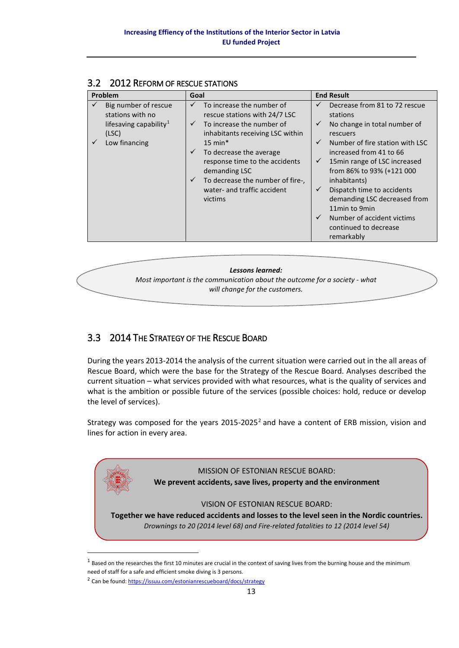<span id="page-12-0"></span>

|  |  | 3.2 2012 REFORM OF RESCUE STATIONS |
|--|--|------------------------------------|
|--|--|------------------------------------|

|              | Problem                                     | Goal         |                                                                                                                                                                                |                                                              | <b>End Result</b>                                                                                                                                                                                                                                                                            |
|--------------|---------------------------------------------|--------------|--------------------------------------------------------------------------------------------------------------------------------------------------------------------------------|--------------------------------------------------------------|----------------------------------------------------------------------------------------------------------------------------------------------------------------------------------------------------------------------------------------------------------------------------------------------|
|              | Big number of rescue<br>stations with no    | $\checkmark$ | To increase the number of<br>rescue stations with 24/7 LSC                                                                                                                     | ✓                                                            | Decrease from 81 to 72 rescue<br>stations                                                                                                                                                                                                                                                    |
|              | lifesaving capability <sup>1</sup><br>(LSC) | $\checkmark$ | To increase the number of<br>inhabitants receiving LSC within                                                                                                                  | $\checkmark$                                                 | No change in total number of<br>rescuers                                                                                                                                                                                                                                                     |
| $\checkmark$ | Low financing                               |              | $15 \text{ min}^*$<br>To decrease the average<br>response time to the accidents<br>demanding LSC<br>To decrease the number of fire-,<br>water- and traffic accident<br>victims | $\checkmark$<br>$\checkmark$<br>$\checkmark$<br>$\checkmark$ | Number of fire station with LSC<br>increased from 41 to 66<br>15 min range of LSC increased<br>from 86% to 93% (+121 000<br>inhabitants)<br>Dispatch time to accidents<br>demanding LSC decreased from<br>11min to 9min<br>Number of accident victims<br>continued to decrease<br>remarkably |

*Lessons learned: Most important is the communication about the outcome for a society - what will change for the customers.*

## <span id="page-12-1"></span>3.3 2014 THE STRATEGY OF THE RESCUE BOARD

During the years 2013-2014 the analysis of the current situation were carried out in the all areas of Rescue Board, which were the base for the Strategy of the Rescue Board. Analyses described the current situation – what services provided with what resources, what is the quality of services and what is the ambition or possible future of the services (possible choices: hold, reduce or develop the level of services).

Strategy was composed for the years  $2015-2025^2$  $2015-2025^2$  and have a content of ERB mission, vision and lines for action in every area.



 $<sup>1</sup>$  Based on the researches the first 10 minutes are crucial in the context of saving lives from the burning house and the minimum</sup> need of staff for a safe and efficient smoke diving is 3 persons.

<span id="page-12-3"></span><span id="page-12-2"></span><sup>&</sup>lt;sup>2</sup> Can be found[: https://issuu.com/estonianrescueboard/docs/strategy](https://issuu.com/estonianrescueboard/docs/strategy)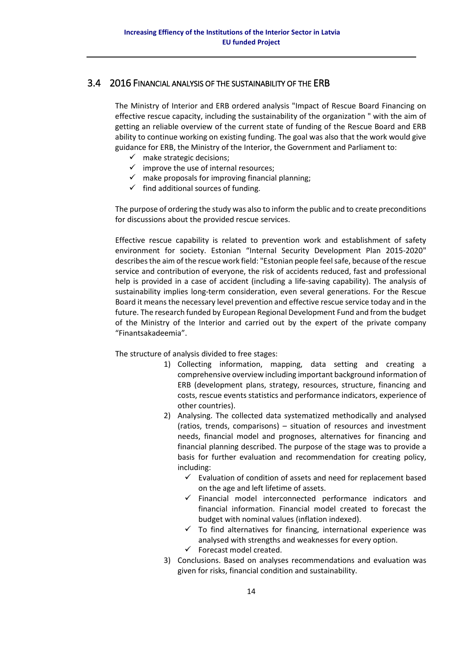## <span id="page-13-0"></span>3.4 2016 FINANCIAL ANALYSIS OF THE SUSTAINABILITY OF THE ERB

The Ministry of Interior and ERB ordered analysis "Impact of Rescue Board Financing on effective rescue capacity, including the sustainability of the organization " with the aim of getting an reliable overview of the current state of funding of the Rescue Board and ERB ability to continue working on existing funding. The goal was also that the work would give guidance for ERB, the Ministry of the Interior, the Government and Parliament to:

- $\checkmark$  make strategic decisions;
- $\checkmark$  improve the use of internal resources;
- $\checkmark$  make proposals for improving financial planning;
- $\checkmark$  find additional sources of funding.

The purpose of ordering the study was also to inform the public and to create preconditions for discussions about the provided rescue services.

Effective rescue capability is related to prevention work and establishment of safety environment for society. Estonian "Internal Security Development Plan 2015-2020" describes the aim of the rescue work field: "Estonian people feelsafe, because of the rescue service and contribution of everyone, the risk of accidents reduced, fast and professional help is provided in a case of accident (including a life-saving capability). The analysis of sustainability implies long-term consideration, even several generations. For the Rescue Board it means the necessary level prevention and effective rescue service today and in the future. The research funded by European Regional Development Fund and from the budget of the Ministry of the Interior and carried out by the expert of the private company "Finantsakadeemia".

The structure of analysis divided to free stages:

- 1) Collecting information, mapping, data setting and creating a comprehensive overview including important background information of ERB (development plans, strategy, resources, structure, financing and costs, rescue events statistics and performance indicators, experience of other countries).
- 2) Analysing. The collected data systematized methodically and analysed (ratios, trends, comparisons) – situation of resources and investment needs, financial model and prognoses, alternatives for financing and financial planning described. The purpose of the stage was to provide a basis for further evaluation and recommendation for creating policy, including:
	- $\checkmark$  Evaluation of condition of assets and need for replacement based on the age and left lifetime of assets.
	- $\checkmark$  Financial model interconnected performance indicators and financial information. Financial model created to forecast the budget with nominal values (inflation indexed).
	- $\checkmark$  To find alternatives for financing, international experience was analysed with strengths and weaknesses for every option.
	- $\checkmark$  Forecast model created.
- 3) Conclusions. Based on analyses recommendations and evaluation was given for risks, financial condition and sustainability.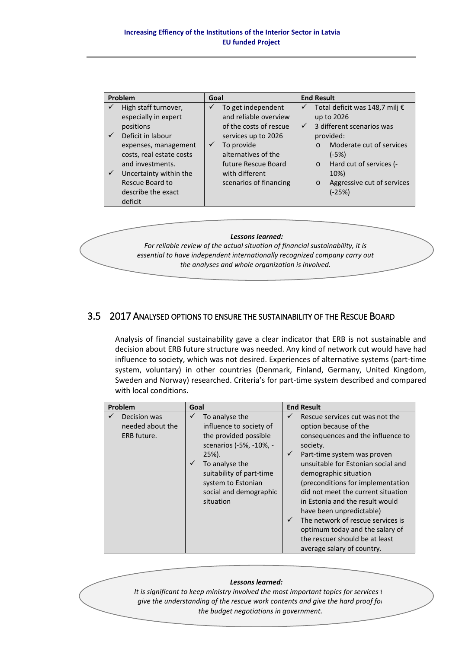|              | Problem                  | Goal |                        |              | <b>End Result</b>                     |
|--------------|--------------------------|------|------------------------|--------------|---------------------------------------|
| ✓            | High staff turnover,     | ✓    | To get independent     | ✓            | Total deficit was 148,7 milj €        |
|              | especially in expert     |      | and reliable overview  |              | up to 2026                            |
|              | positions                |      | of the costs of rescue | $\checkmark$ | 3 different scenarios was             |
| $\checkmark$ | Deficit in labour        |      | services up to 2026    |              | provided:                             |
|              | expenses, management     | ✓    | To provide             |              | Moderate cut of services<br>$\Omega$  |
|              | costs, real estate costs |      | alternatives of the    |              | $(-5%)$                               |
|              | and investments.         |      | future Rescue Board    |              | Hard cut of services (-<br>$\circ$    |
| $\checkmark$ | Uncertainty within the   |      | with different         |              | 10%)                                  |
|              | Rescue Board to          |      | scenarios of financing |              | Aggressive cut of services<br>$\circ$ |
|              | describe the exact       |      |                        |              | $(-25%)$                              |
|              | deficit                  |      |                        |              |                                       |

*Lessons learned:*

*For reliable review of the actual situation of financial sustainability, it is essential to have independent internationally recognized company carry out the analyses and whole organization is involved.*

## <span id="page-14-0"></span>3.5 2017 ANALYSED OPTIONS TO ENSURE THE SUSTAINABILITY OF THE RESCUE BOARD

Analysis of financial sustainability gave a clear indicator that ERB is not sustainable and decision about ERB future structure was needed. Any kind of network cut would have had influence to society, which was not desired. Experiences of alternative systems (part-time system, voluntary) in other countries (Denmark, Finland, Germany, United Kingdom, Sweden and Norway) researched. Criteria's for part-time system described and compared with local conditions.

| Problem                                              | Goal                                                                                                                                                                                                                                      | <b>End Result</b>                                                                                                                                                                                                                                                                                                                                                                                                                                                                              |
|------------------------------------------------------|-------------------------------------------------------------------------------------------------------------------------------------------------------------------------------------------------------------------------------------------|------------------------------------------------------------------------------------------------------------------------------------------------------------------------------------------------------------------------------------------------------------------------------------------------------------------------------------------------------------------------------------------------------------------------------------------------------------------------------------------------|
| ✓<br>Decision was<br>needed about the<br>ERB future. | ✓<br>To analyse the<br>influence to society of<br>the provided possible<br>scenarios (-5%, -10%, -<br>$25%$ ).<br>$\checkmark$<br>To analyse the<br>suitability of part-time<br>system to Estonian<br>social and demographic<br>situation | Rescue services cut was not the<br>✓<br>option because of the<br>consequences and the influence to<br>society.<br>Part-time system was proven<br>unsuitable for Estonian social and<br>demographic situation<br>(preconditions for implementation<br>did not meet the current situation<br>in Estonia and the result would<br>have been unpredictable)<br>The network of rescue services is<br>optimum today and the salary of<br>the rescuer should be at least<br>average salary of country. |

#### *Lessons learned:*

It is significant to keep ministry involved the most important topics for services t *give the understanding of the rescue work contents and give the hard proof for the budget negotiations in government.*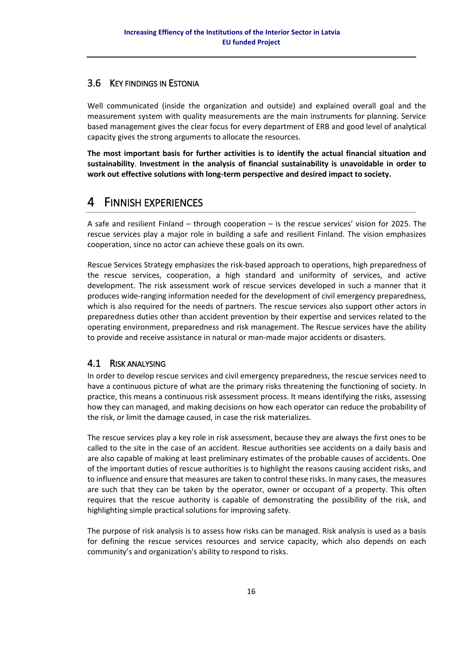## <span id="page-15-0"></span>3.6 KEY FINDINGS IN ESTONIA

Well communicated (inside the organization and outside) and explained overall goal and the measurement system with quality measurements are the main instruments for planning. Service based management gives the clear focus for every department of ERB and good level of analytical capacity gives the strong arguments to allocate the resources.

**The most important basis for further activities is to identify the actual financial situation and sustainability**. **Investment in the analysis of financial sustainability is unavoidable in order to work out effective solutions with long-term perspective and desired impact to society.** 

## <span id="page-15-1"></span>4 FINNISH EXPERIENCES

A safe and resilient Finland – through cooperation – is the rescue services' vision for 2025. The rescue services play a major role in building a safe and resilient Finland. The vision emphasizes cooperation, since no actor can achieve these goals on its own.

Rescue Services Strategy emphasizes the risk-based approach to operations, high preparedness of the rescue services, cooperation, a high standard and uniformity of services, and active development. The risk assessment work of rescue services developed in such a manner that it produces wide-ranging information needed for the development of civil emergency preparedness, which is also required for the needs of partners. The rescue services also support other actors in preparedness duties other than accident prevention by their expertise and services related to the operating environment, preparedness and risk management. The Rescue services have the ability to provide and receive assistance in natural or man-made major accidents or disasters.

## <span id="page-15-2"></span>4.1 RISK ANALYSING

In order to develop rescue services and civil emergency preparedness, the rescue services need to have a continuous picture of what are the primary risks threatening the functioning of society. In practice, this means a continuous risk assessment process. It means identifying the risks, assessing how they can managed, and making decisions on how each operator can reduce the probability of the risk, or limit the damage caused, in case the risk materializes.

The rescue services play a key role in risk assessment, because they are always the first ones to be called to the site in the case of an accident. Rescue authorities see accidents on a daily basis and are also capable of making at least preliminary estimates of the probable causes of accidents. One of the important duties of rescue authorities is to highlight the reasons causing accident risks, and to influence and ensure that measures are taken to control these risks. In many cases, the measures are such that they can be taken by the operator, owner or occupant of a property. This often requires that the rescue authority is capable of demonstrating the possibility of the risk, and highlighting simple practical solutions for improving safety.

The purpose of risk analysis is to assess how risks can be managed. Risk analysis is used as a basis for defining the rescue services resources and service capacity, which also depends on each community's and organization's ability to respond to risks.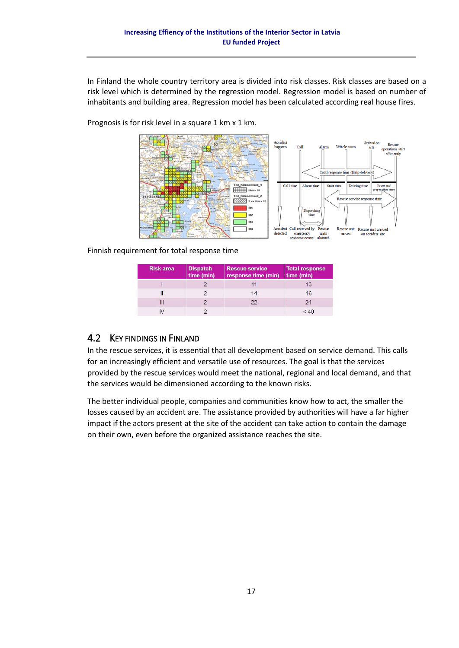In Finland the whole country territory area is divided into risk classes. Risk classes are based on a risk level which is determined by the regression model. Regression model is based on number of inhabitants and building area. Regression model has been calculated according real house fires.



Prognosis is for risk level in a square 1 km x 1 km.

Finnish requirement for total response time

| <b>Risk area</b> | <b>Dispatch</b><br>time (min) | <b>Rescue service</b><br>response time (min) | <b>Total response</b><br>time (min) |
|------------------|-------------------------------|----------------------------------------------|-------------------------------------|
|                  |                               |                                              |                                     |
|                  |                               | 14                                           | 16                                  |
|                  |                               | つつ                                           | 24                                  |
|                  |                               |                                              |                                     |

## <span id="page-16-0"></span>4.2 KEY FINDINGS IN FINLAND

In the rescue services, it is essential that all development based on service demand. This calls for an increasingly efficient and versatile use of resources. The goal is that the services provided by the rescue services would meet the national, regional and local demand, and that the services would be dimensioned according to the known risks.

The better individual people, companies and communities know how to act, the smaller the losses caused by an accident are. The assistance provided by authorities will have a far higher impact if the actors present at the site of the accident can take action to contain the damage on their own, even before the organized assistance reaches the site.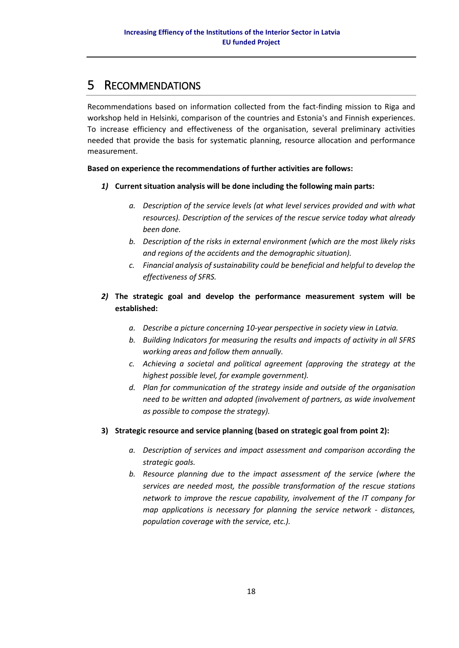## <span id="page-17-0"></span>5 RECOMMENDATIONS

Recommendations based on information collected from the fact-finding mission to Riga and workshop held in Helsinki, comparison of the countries and Estonia's and Finnish experiences. To increase efficiency and effectiveness of the organisation, several preliminary activities needed that provide the basis for systematic planning, resource allocation and performance measurement.

#### **Based on experience the recommendations of further activities are follows:**

- *1)* **Current situation analysis will be done including the following main parts:**
	- *a. Description of the service levels (at what level services provided and with what resources). Description of the services of the rescue service today what already been done.*
	- *b. Description of the risks in external environment (which are the most likely risks and regions of the accidents and the demographic situation).*
	- *c. Financial analysis of sustainability could be beneficial and helpful to develop the effectiveness of SFRS.*
- *2)* **The strategic goal and develop the performance measurement system will be established:**
	- *a. Describe a picture concerning 10-year perspective in society view in Latvia.*
	- *b. Building Indicators for measuring the results and impacts of activity in all SFRS working areas and follow them annually.*
	- *c. Achieving a societal and political agreement (approving the strategy at the highest possible level, for example government).*
	- *d. Plan for communication of the strategy inside and outside of the organisation need to be written and adopted (involvement of partners, as wide involvement as possible to compose the strategy).*

#### **3) Strategic resource and service planning (based on strategic goal from point 2):**

- *a. Description of services and impact assessment and comparison according the strategic goals.*
- *b. Resource planning due to the impact assessment of the service (where the services are needed most, the possible transformation of the rescue stations network to improve the rescue capability, involvement of the IT company for map applications is necessary for planning the service network - distances, population coverage with the service, etc.).*